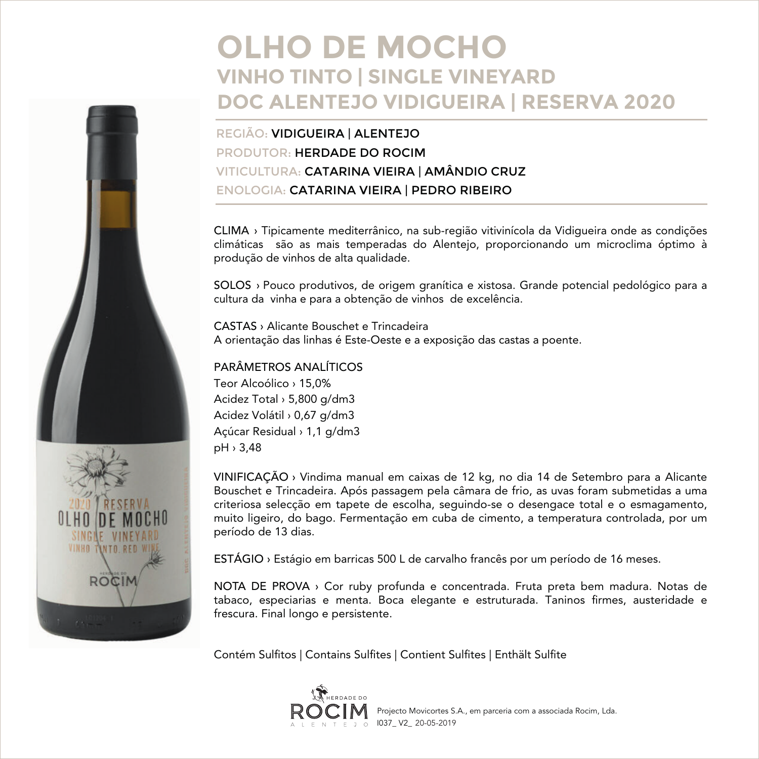## **OLHO DE MOCHO VINHO TINTO | SINGLE VINEYARD DOC ALENTEJO VIDIGUEIRA | RESERVA 2020**

REGIÃO: VIDIGUEIRA | ALENTEJO PRODUTOR: HERDADE DO ROCIM VITICULTURA: CATARINA VIEIRA | AMÂNDIO CRUZ ENOLOGIA: CATARINA VIEIRA | PEDRO RIBEIRO

CLIMA › Tipicamente mediterrânico, na sub-região vitivinícola da Vidigueira onde as condições climáticas são as mais temperadas do Alentejo, proporcionando um microclima óptimo à produção de vinhos de alta qualidade.

SOLOS › Pouco produtivos, de origem granítica e xistosa. Grande potencial pedológico para a cultura da vinha e para a obtenção de vinhos de excelência.

CASTAS › Alicante Bouschet e Trincadeira A orientação das linhas é Este-Oeste e a exposição das castas a poente.

## PARÂMETROS ANALÍTICOS

Teor Alcoólico › 15,0% Acidez Total › 5,800 g/dm3 Acidez Volátil › 0,67 g/dm3 Açúcar Residual › 1,1 g/dm3 pH › 3,48

VINIFICAÇÃO › Vindima manual em caixas de 12 kg, no dia 14 de Setembro para a Alicante Bouschet e Trincadeira. Após passagem pela câmara de frio, as uvas foram submetidas a uma criteriosa selecção em tapete de escolha, seguindo-se o desengace total e o esmagamento, muito ligeiro, do bago. Fermentação em cuba de cimento, a temperatura controlada, por um período de 13 dias.

ESTÁGIO › Estágio em barricas 500 L de carvalho francês por um período de 16 meses.

NOTA DE PROVA › Cor ruby profunda e concentrada. Fruta preta bem madura. Notas de tabaco, especiarias e menta. Boca elegante e estruturada. Taninos firmes, austeridade e frescura. Final longo e persistente.

Contém Sulfitos | Contains Sulfites | Contient Sulfites | Enthält Sulfite